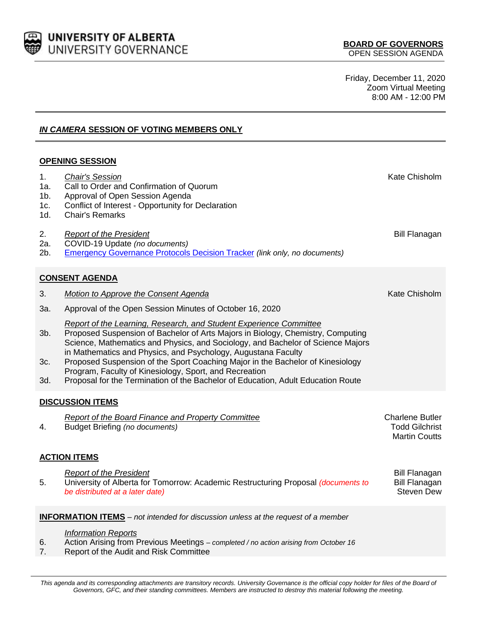

Friday, December 11, 2020 Zoom Virtual Meeting 8:00 AM - 12:00 PM

*IN CAMERA* **SESSION OF VOTING MEMBERS ONLY**

## **OPENING SESSION**

| 1.<br>1a.<br>$1b$ .<br>1c.<br>1d.                                                        | <b>Chair's Session</b><br>Call to Order and Confirmation of Quorum<br>Approval of Open Session Agenda<br>Conflict of Interest - Opportunity for Declaration<br><b>Chair's Remarks</b>                                                                                                                                                                                                                                                                                                                                                     | Kate Chisholm                                                           |  |
|------------------------------------------------------------------------------------------|-------------------------------------------------------------------------------------------------------------------------------------------------------------------------------------------------------------------------------------------------------------------------------------------------------------------------------------------------------------------------------------------------------------------------------------------------------------------------------------------------------------------------------------------|-------------------------------------------------------------------------|--|
| 2.<br>2a.<br>$2b$ .                                                                      | <b>Report of the President</b><br>COVID-19 Update (no documents)<br><b>Emergency Governance Protocols Decision Tracker (link only, no documents)</b>                                                                                                                                                                                                                                                                                                                                                                                      | <b>Bill Flanagan</b>                                                    |  |
| <b>CONSENT AGENDA</b>                                                                    |                                                                                                                                                                                                                                                                                                                                                                                                                                                                                                                                           |                                                                         |  |
| 3.                                                                                       | <b>Motion to Approve the Consent Agenda</b>                                                                                                                                                                                                                                                                                                                                                                                                                                                                                               | Kate Chisholm                                                           |  |
| 3a.                                                                                      | Approval of the Open Session Minutes of October 16, 2020                                                                                                                                                                                                                                                                                                                                                                                                                                                                                  |                                                                         |  |
| $3b$ .<br>3c.<br>3d.                                                                     | Report of the Learning, Research, and Student Experience Committee<br>Proposed Suspension of Bachelor of Arts Majors in Biology, Chemistry, Computing<br>Science, Mathematics and Physics, and Sociology, and Bachelor of Science Majors<br>in Mathematics and Physics, and Psychology, Augustana Faculty<br>Proposed Suspension of the Sport Coaching Major in the Bachelor of Kinesiology<br>Program, Faculty of Kinesiology, Sport, and Recreation<br>Proposal for the Termination of the Bachelor of Education, Adult Education Route |                                                                         |  |
| <b>DISCUSSION ITEMS</b>                                                                  |                                                                                                                                                                                                                                                                                                                                                                                                                                                                                                                                           |                                                                         |  |
| 4.                                                                                       | Report of the Board Finance and Property Committee<br><b>Budget Briefing (no documents)</b>                                                                                                                                                                                                                                                                                                                                                                                                                                               | <b>Charlene Butler</b><br><b>Todd Gilchrist</b><br><b>Martin Coutts</b> |  |
| <b>ACTION ITEMS</b>                                                                      |                                                                                                                                                                                                                                                                                                                                                                                                                                                                                                                                           |                                                                         |  |
| 5.                                                                                       | <b>Report of the President</b><br>University of Alberta for Tomorrow: Academic Restructuring Proposal (documents to<br>be distributed at a later date)                                                                                                                                                                                                                                                                                                                                                                                    | <b>Bill Flanagan</b><br><b>Bill Flanagan</b><br><b>Steven Dew</b>       |  |
| <b>INFORMATION ITEMS</b> – not intended for discussion unless at the request of a member |                                                                                                                                                                                                                                                                                                                                                                                                                                                                                                                                           |                                                                         |  |
| 6.                                                                                       | <b>Information Reports</b><br>Action Arising from Previous Meetings - completed / no action arising from October 16                                                                                                                                                                                                                                                                                                                                                                                                                       |                                                                         |  |

7. Report of the Audit and Risk Committee

This agenda and its corresponding attachments are transitory records. University Governance is the official copy holder for files of the Board of *Governors, GFC, and their standing committees. Members are instructed to destroy this material following the meeting.*